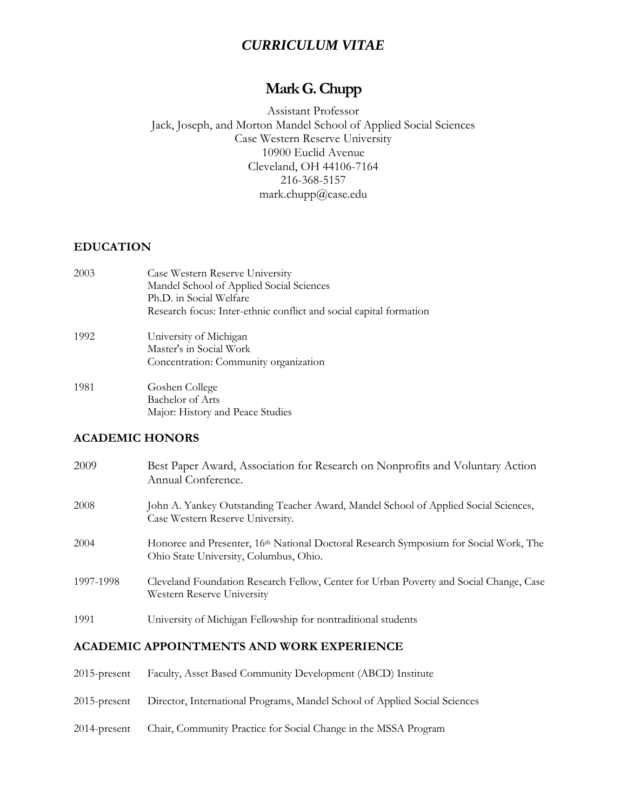## *CURRICULUM VITAE*

# **Mark G. Chupp**

Assistant Professor Jack, Joseph, and Morton Mandel School of Applied Social Sciences Case Western Reserve University 10900 Euclid Avenue Cleveland, OH 44106-7164 216-368-5157 mark.chupp@case.edu

#### **EDUCATION**

| 2003 | Case Western Reserve University<br>Mandel School of Applied Social Sciences |
|------|-----------------------------------------------------------------------------|
|      | Ph.D. in Social Welfare                                                     |
|      | Research focus: Inter-ethnic conflict and social capital formation          |
| 1992 | University of Michigan                                                      |
|      | Master's in Social Work                                                     |
|      | Concentration: Community organization                                       |
| 1981 | Goshen College                                                              |
|      | Bachelor of Arts                                                            |

Major: History and Peace Studies

#### **ACADEMIC HONORS**

| 2009      | Best Paper Award, Association for Research on Nonprofits and Voluntary Action<br>Annual Conference.                                         |
|-----------|---------------------------------------------------------------------------------------------------------------------------------------------|
| 2008      | John A. Yankey Outstanding Teacher Award, Mandel School of Applied Social Sciences,<br>Case Western Reserve University.                     |
| 2004      | Honoree and Presenter, 16 <sup>th</sup> National Doctoral Research Symposium for Social Work, The<br>Ohio State University, Columbus, Ohio. |
| 1997-1998 | Cleveland Foundation Research Fellow, Center for Urban Poverty and Social Change, Case<br>Western Reserve University                        |
| 1991      | University of Michigan Fellowship for nontraditional students                                                                               |

#### **ACADEMIC APPOINTMENTS AND WORK EXPERIENCE**

| $2015$ -present | Faculty, Asset Based Community Development (ABCD) Institute                |
|-----------------|----------------------------------------------------------------------------|
| $2015$ -present | Director, International Programs, Mandel School of Applied Social Sciences |
| $2014$ -present | Chair, Community Practice for Social Change in the MSSA Program            |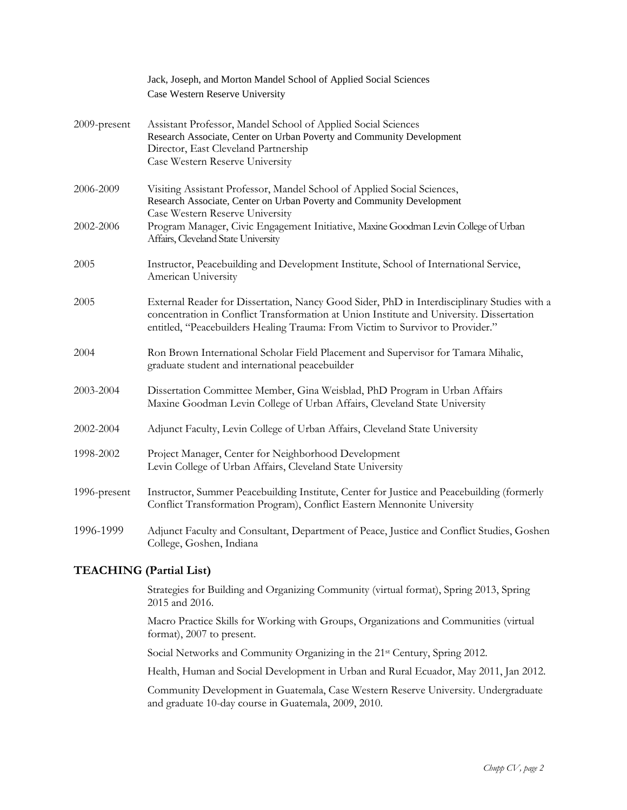|              | Jack, Joseph, and Morton Mandel School of Applied Social Sciences                                                                                                                                                                                                         |
|--------------|---------------------------------------------------------------------------------------------------------------------------------------------------------------------------------------------------------------------------------------------------------------------------|
|              | Case Western Reserve University                                                                                                                                                                                                                                           |
| 2009-present | Assistant Professor, Mandel School of Applied Social Sciences<br>Research Associate, Center on Urban Poverty and Community Development<br>Director, East Cleveland Partnership<br>Case Western Reserve University                                                         |
| 2006-2009    | Visiting Assistant Professor, Mandel School of Applied Social Sciences,<br>Research Associate, Center on Urban Poverty and Community Development<br>Case Western Reserve University                                                                                       |
| 2002-2006    | Program Manager, Civic Engagement Initiative, Maxine Goodman Levin College of Urban<br>Affairs, Cleveland State University                                                                                                                                                |
| 2005         | Instructor, Peacebuilding and Development Institute, School of International Service,<br>American University                                                                                                                                                              |
| 2005         | External Reader for Dissertation, Nancy Good Sider, PhD in Interdisciplinary Studies with a<br>concentration in Conflict Transformation at Union Institute and University. Dissertation<br>entitled, "Peacebuilders Healing Trauma: From Victim to Survivor to Provider." |
| 2004         | Ron Brown International Scholar Field Placement and Supervisor for Tamara Mihalic,<br>graduate student and international peacebuilder                                                                                                                                     |
| 2003-2004    | Dissertation Committee Member, Gina Weisblad, PhD Program in Urban Affairs<br>Maxine Goodman Levin College of Urban Affairs, Cleveland State University                                                                                                                   |
| 2002-2004    | Adjunct Faculty, Levin College of Urban Affairs, Cleveland State University                                                                                                                                                                                               |
| 1998-2002    | Project Manager, Center for Neighborhood Development<br>Levin College of Urban Affairs, Cleveland State University                                                                                                                                                        |
| 1996-present | Instructor, Summer Peacebuilding Institute, Center for Justice and Peacebuilding (formerly<br>Conflict Transformation Program), Conflict Eastern Mennonite University                                                                                                     |
| 1996-1999    | Adjunct Faculty and Consultant, Department of Peace, Justice and Conflict Studies, Goshen<br>College, Goshen, Indiana                                                                                                                                                     |

## **TEACHING (Partial List)**

Strategies for Building and Organizing Community (virtual format), Spring 2013, Spring 2015 and 2016.

Macro Practice Skills for Working with Groups, Organizations and Communities (virtual format), 2007 to present.

Social Networks and Community Organizing in the 21<sup>st</sup> Century, Spring 2012.

Health, Human and Social Development in Urban and Rural Ecuador, May 2011, Jan 2012.

Community Development in Guatemala, Case Western Reserve University. Undergraduate and graduate 10-day course in Guatemala, 2009, 2010.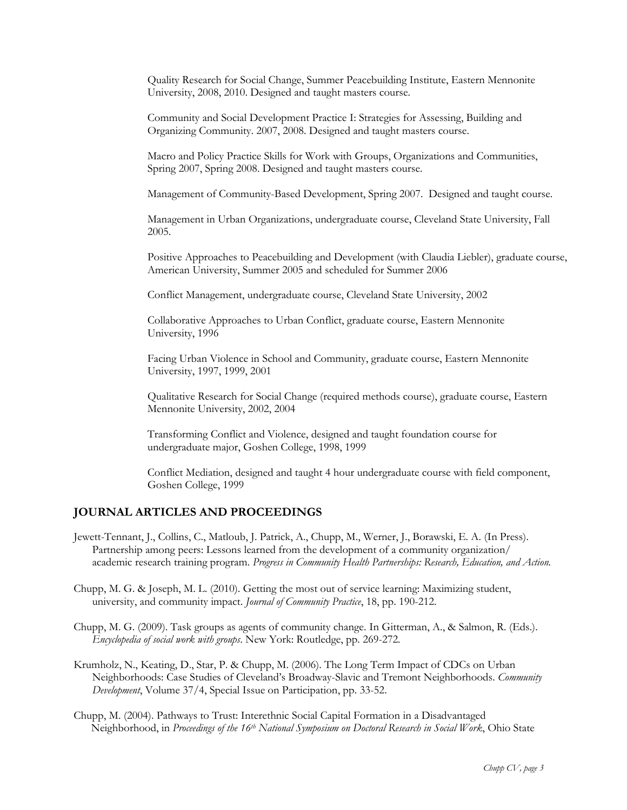Quality Research for Social Change, Summer Peacebuilding Institute, Eastern Mennonite University, 2008, 2010. Designed and taught masters course.

Community and Social Development Practice I: Strategies for Assessing, Building and Organizing Community. 2007, 2008. Designed and taught masters course.

Macro and Policy Practice Skills for Work with Groups, Organizations and Communities, Spring 2007, Spring 2008. Designed and taught masters course.

Management of Community-Based Development, Spring 2007. Designed and taught course.

Management in Urban Organizations, undergraduate course, Cleveland State University, Fall 2005.

Positive Approaches to Peacebuilding and Development (with Claudia Liebler), graduate course, American University, Summer 2005 and scheduled for Summer 2006

Conflict Management, undergraduate course, Cleveland State University, 2002

Collaborative Approaches to Urban Conflict, graduate course, Eastern Mennonite University, 1996

Facing Urban Violence in School and Community, graduate course, Eastern Mennonite University, 1997, 1999, 2001

Qualitative Research for Social Change (required methods course), graduate course, Eastern Mennonite University, 2002, 2004

Transforming Conflict and Violence, designed and taught foundation course for undergraduate major, Goshen College, 1998, 1999

Conflict Mediation, designed and taught 4 hour undergraduate course with field component, Goshen College, 1999

## **JOURNAL ARTICLES AND PROCEEDINGS**

- Jewett-Tennant, J., Collins, C., Matloub, J. Patrick, A., Chupp, M., Werner, J., Borawski, E. A. (In Press). Partnership among peers: Lessons learned from the development of a community organization/ academic research training program. *Progress in Community Health Partnerships: Research, Education, and Action.*
- Chupp, M. G. & Joseph, M. L. (2010). Getting the most out of service learning: Maximizing student, university, and community impact. *Journal of Community Practice*, 18, pp. 190-212.
- Chupp, M. G. (2009). Task groups as agents of community change. In Gitterman, A., & Salmon, R. (Eds.). *Encyclopedia of social work with groups*. New York: Routledge, pp. 269-272*.*
- Krumholz, N., Keating, D., Star, P. & Chupp, M. (2006). The Long Term Impact of CDCs on Urban Neighborhoods: Case Studies of Cleveland's Broadway-Slavic and Tremont Neighborhoods. *Community Development*, Volume 37/4, Special Issue on Participation, pp. 33-52.
- Chupp, M. (2004). Pathways to Trust: Interethnic Social Capital Formation in a Disadvantaged Neighborhood, in *Proceedings of the 16th National Symposium on Doctoral Research in Social Work*, Ohio State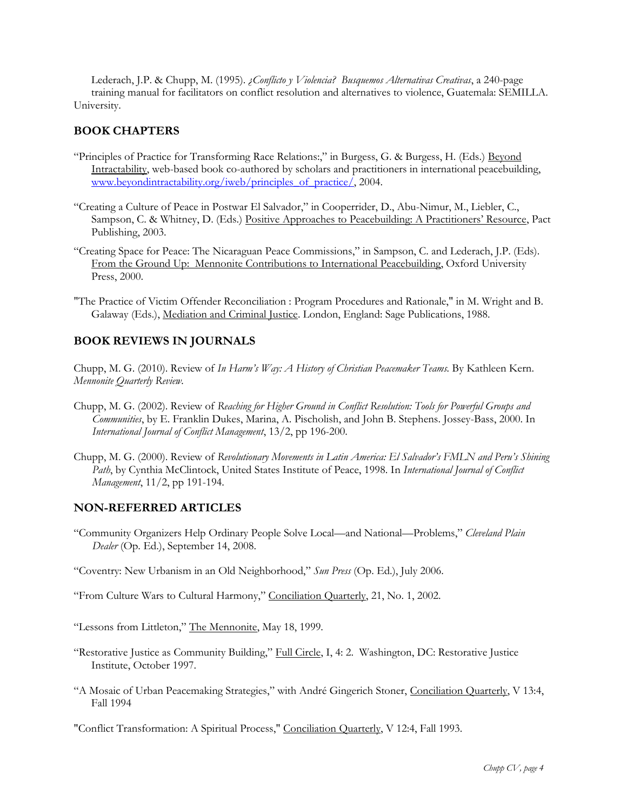Lederach, J.P. & Chupp, M. (1995). *¿Conflicto y Violencia? Busquemos Alternativas Creativas*, a 240-page training manual for facilitators on conflict resolution and alternatives to violence, Guatemala: SEMILLA. University.

#### **BOOK CHAPTERS**

- "Principles of Practice for Transforming Race Relations:," in Burgess, G. & Burgess, H. (Eds.) Beyond Intractability, web-based book co-authored by scholars and practitioners in international peacebuilding, [www.beyondintractability.org/iweb/principles\\_of\\_practice/,](http://www.beyondintractability.org/iweb/principles_of_practice/) 2004.
- "Creating a Culture of Peace in Postwar El Salvador," in Cooperrider, D., Abu-Nimur, M., Liebler, C., Sampson, C. & Whitney, D. (Eds.) Positive Approaches to Peacebuilding: A Practitioners' Resource, Pact Publishing, 2003.
- "Creating Space for Peace: The Nicaraguan Peace Commissions," in Sampson, C. and Lederach, J.P. (Eds). From the Ground Up: Mennonite Contributions to International Peacebuilding, Oxford University Press, 2000.
- "The Practice of Victim Offender Reconciliation : Program Procedures and Rationale," in M. Wright and B. Galaway (Eds.), Mediation and Criminal Justice. London, England: Sage Publications, 1988.

## **BOOK REVIEWS IN JOURNALS**

Chupp, M. G. (2010). Review of *In Harm's Way: A History of Christian Peacemaker Teams.* By Kathleen Kern. *Mennonite Quarterly Review.*

- Chupp, M. G. (2002). Review of *Reaching for Higher Ground in Conflict Resolution: Tools for Powerful Groups and Communities*, by E. Franklin Dukes, Marina, A. Pischolish, and John B. Stephens. Jossey-Bass, 2000. In *International Journal of Conflict Management*, 13/2, pp 196-200.
- Chupp, M. G. (2000). Review of *Revolutionary Movements in Latin America: El Salvador's FMLN and Peru's Shining Path*, by Cynthia McClintock, United States Institute of Peace, 1998. In *International Journal of Conflict Management*, 11/2, pp 191-194.

#### **NON-REFERRED ARTICLES**

"Community Organizers Help Ordinary People Solve Local—and National—Problems," *Cleveland Plain Dealer* (Op. Ed.), September 14, 2008.

"Coventry: New Urbanism in an Old Neighborhood," *Sun Press* (Op. Ed.), July 2006.

"From Culture Wars to Cultural Harmony," Conciliation Quarterly, 21, No. 1, 2002.

"Lessons from Littleton," The Mennonite, May 18, 1999.

- "Restorative Justice as Community Building," Full Circle, I, 4: 2. Washington, DC: Restorative Justice Institute, October 1997.
- "A Mosaic of Urban Peacemaking Strategies," with André Gingerich Stoner, Conciliation Quarterly, V 13:4, Fall 1994

"Conflict Transformation: A Spiritual Process," Conciliation Quarterly, V 12:4, Fall 1993.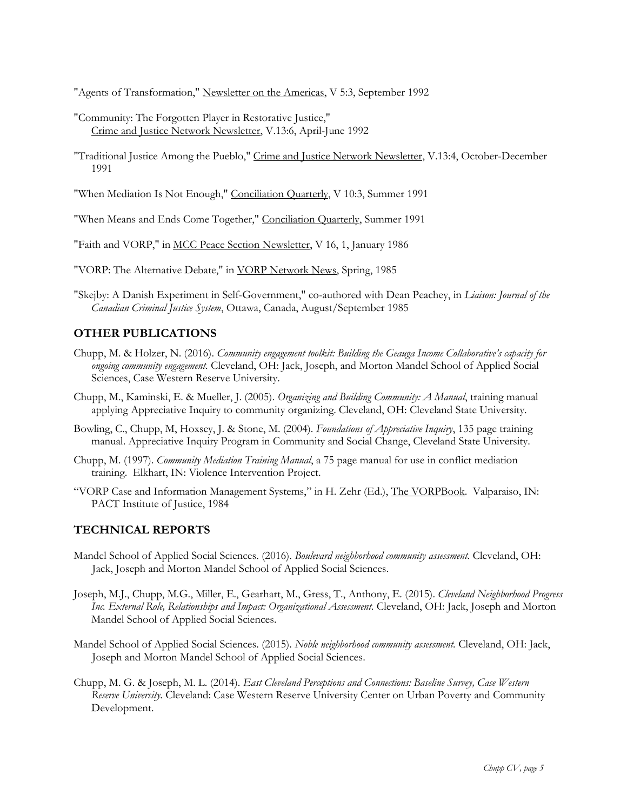"Agents of Transformation," Newsletter on the Americas, V 5:3, September 1992

- "Community: The Forgotten Player in Restorative Justice," Crime and Justice Network Newsletter, V.13:6, April-June 1992
- "Traditional Justice Among the Pueblo," Crime and Justice Network Newsletter, V.13:4, October-December 1991
- "When Mediation Is Not Enough," Conciliation Quarterly, V 10:3, Summer 1991

"When Means and Ends Come Together," Conciliation Quarterly, Summer 1991

"Faith and VORP," in MCC Peace Section Newsletter, V 16, 1, January 1986

- "VORP: The Alternative Debate," in VORP Network News, Spring, 1985
- "Skejby: A Danish Experiment in Self-Government," co-authored with Dean Peachey, in *Liaison: Journal of the Canadian Criminal Justice System*, Ottawa, Canada, August/September 1985

#### **OTHER PUBLICATIONS**

- Chupp, M. & Holzer, N. (2016). *Community engagement toolkit: Building the Geauga Income Collaborative's capacity for ongoing community engagement.* Cleveland, OH: Jack, Joseph, and Morton Mandel School of Applied Social Sciences, Case Western Reserve University.
- Chupp, M., Kaminski, E. & Mueller, J. (2005). *Organizing and Building Community: A Manual*, training manual applying Appreciative Inquiry to community organizing. Cleveland, OH: Cleveland State University.
- Bowling, C., Chupp, M, Hoxsey, J. & Stone, M. (2004). *Foundations of Appreciative Inquiry*, 135 page training manual. Appreciative Inquiry Program in Community and Social Change, Cleveland State University.
- Chupp, M. (1997). *Community Mediation Training Manual*, a 75 page manual for use in conflict mediation training. Elkhart, IN: Violence Intervention Project.
- "VORP Case and Information Management Systems," in H. Zehr (Ed.), The VORPBook. Valparaiso, IN: PACT Institute of Justice, 1984

#### **TECHNICAL REPORTS**

- Mandel School of Applied Social Sciences. (2016). *Boulevard neighborhood community assessment.* Cleveland, OH: Jack, Joseph and Morton Mandel School of Applied Social Sciences.
- Joseph, M.J., Chupp, M.G., Miller, E., Gearhart, M., Gress, T., Anthony, E. (2015). *Cleveland Neighborhood Progress Inc. External Role, Relationships and Impact: Organizational Assessment.* Cleveland, OH: Jack, Joseph and Morton Mandel School of Applied Social Sciences.
- Mandel School of Applied Social Sciences. (2015). *Noble neighborhood community assessment.* Cleveland, OH: Jack, Joseph and Morton Mandel School of Applied Social Sciences.
- Chupp, M. G. & Joseph, M. L. (2014). *East Cleveland Perceptions and Connections: Baseline Survey, Case Western Reserve University.* Cleveland: Case Western Reserve University Center on Urban Poverty and Community Development.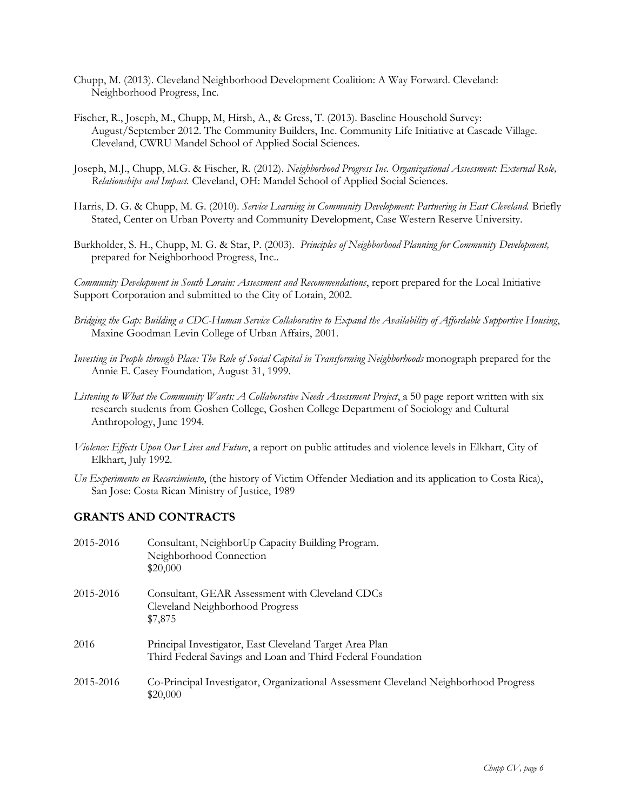- Chupp, M. (2013). Cleveland Neighborhood Development Coalition: A Way Forward. Cleveland: Neighborhood Progress, Inc.
- Fischer, R., Joseph, M., Chupp, M, Hirsh, A., & Gress, T. (2013). Baseline Household Survey: August/September 2012. The Community Builders, Inc. Community Life Initiative at Cascade Village. Cleveland, CWRU Mandel School of Applied Social Sciences.
- Joseph, M.J., Chupp, M.G. & Fischer, R. (2012). *Neighborhood Progress Inc. Organizational Assessment: External Role, Relationships and Impact.* Cleveland, OH: Mandel School of Applied Social Sciences.
- Harris, D. G. & Chupp, M. G. (2010). *Service Learning in Community Development: Partnering in East Cleveland*. Briefly Stated, Center on Urban Poverty and Community Development, Case Western Reserve University.
- Burkholder, S. H., Chupp, M. G. & Star, P. (2003). *Principles of Neighborhood Planning for Community Development,* prepared for Neighborhood Progress, Inc..

*Community Development in South Lorain: Assessment and Recommendations*, report prepared for the Local Initiative Support Corporation and submitted to the City of Lorain, 2002.

- *Bridging the Gap: Building a CDC-Human Service Collaborative to Expand the Availability of Affordable Supportive Housing*, Maxine Goodman Levin College of Urban Affairs, 2001.
- *Investing in People through Place: The Role of Social Capital in Transforming Neighborhoods* monograph prepared for the Annie E. Casey Foundation, August 31, 1999.
- Listening to What the Community Wants: A Collaborative Needs Assessment Project, a 50 page report written with six research students from Goshen College, Goshen College Department of Sociology and Cultural Anthropology, June 1994.
- *Violence: Effects Upon Our Lives and Future*, a report on public attitudes and violence levels in Elkhart, City of Elkhart, July 1992.
- *Un Experimento en Recarcimiento*, (the history of Victim Offender Mediation and its application to Costa Rica), San Jose: Costa Rican Ministry of Justice, 1989

#### **GRANTS AND CONTRACTS**

| 2015-2016 | Consultant, NeighborUp Capacity Building Program.<br>Neighborhood Connection<br>\$20,000                               |
|-----------|------------------------------------------------------------------------------------------------------------------------|
| 2015-2016 | Consultant, GEAR Assessment with Cleveland CDCs<br>Cleveland Neighborhood Progress<br>\$7,875                          |
| 2016      | Principal Investigator, East Cleveland Target Area Plan<br>Third Federal Savings and Loan and Third Federal Foundation |
| 2015-2016 | Co-Principal Investigator, Organizational Assessment Cleveland Neighborhood Progress<br>\$20,000                       |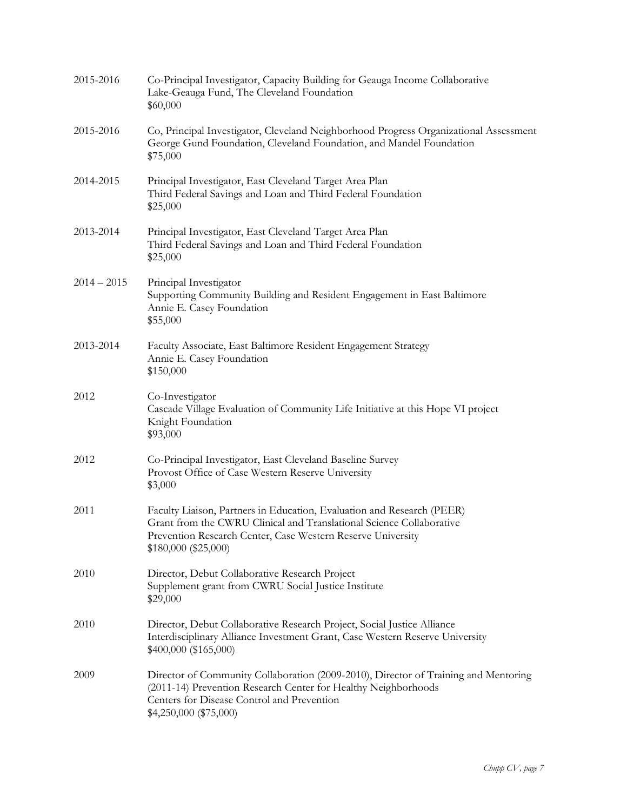| 2015-2016     | Co-Principal Investigator, Capacity Building for Geauga Income Collaborative<br>Lake-Geauga Fund, The Cleveland Foundation<br>\$60,000                                                                                                |
|---------------|---------------------------------------------------------------------------------------------------------------------------------------------------------------------------------------------------------------------------------------|
| 2015-2016     | Co, Principal Investigator, Cleveland Neighborhood Progress Organizational Assessment<br>George Gund Foundation, Cleveland Foundation, and Mandel Foundation<br>\$75,000                                                              |
| 2014-2015     | Principal Investigator, East Cleveland Target Area Plan<br>Third Federal Savings and Loan and Third Federal Foundation<br>\$25,000                                                                                                    |
| 2013-2014     | Principal Investigator, East Cleveland Target Area Plan<br>Third Federal Savings and Loan and Third Federal Foundation<br>\$25,000                                                                                                    |
| $2014 - 2015$ | Principal Investigator<br>Supporting Community Building and Resident Engagement in East Baltimore<br>Annie E. Casey Foundation<br>\$55,000                                                                                            |
| 2013-2014     | Faculty Associate, East Baltimore Resident Engagement Strategy<br>Annie E. Casey Foundation<br>\$150,000                                                                                                                              |
| 2012          | Co-Investigator<br>Cascade Village Evaluation of Community Life Initiative at this Hope VI project<br>Knight Foundation<br>\$93,000                                                                                                   |
| 2012          | Co-Principal Investigator, East Cleveland Baseline Survey<br>Provost Office of Case Western Reserve University<br>\$3,000                                                                                                             |
| 2011          | Faculty Liaison, Partners in Education, Evaluation and Research (PEER)<br>Grant from the CWRU Clinical and Translational Science Collaborative<br>Prevention Research Center, Case Western Reserve University<br>\$180,000 (\$25,000) |
| 2010          | Director, Debut Collaborative Research Project<br>Supplement grant from CWRU Social Justice Institute<br>\$29,000                                                                                                                     |
| 2010          | Director, Debut Collaborative Research Project, Social Justice Alliance<br>Interdisciplinary Alliance Investment Grant, Case Western Reserve University<br>\$400,000 (\$165,000)                                                      |
| 2009          | Director of Community Collaboration (2009-2010), Director of Training and Mentoring<br>(2011-14) Prevention Research Center for Healthy Neighborhoods<br>Centers for Disease Control and Prevention<br>\$4,250,000 (\$75,000)         |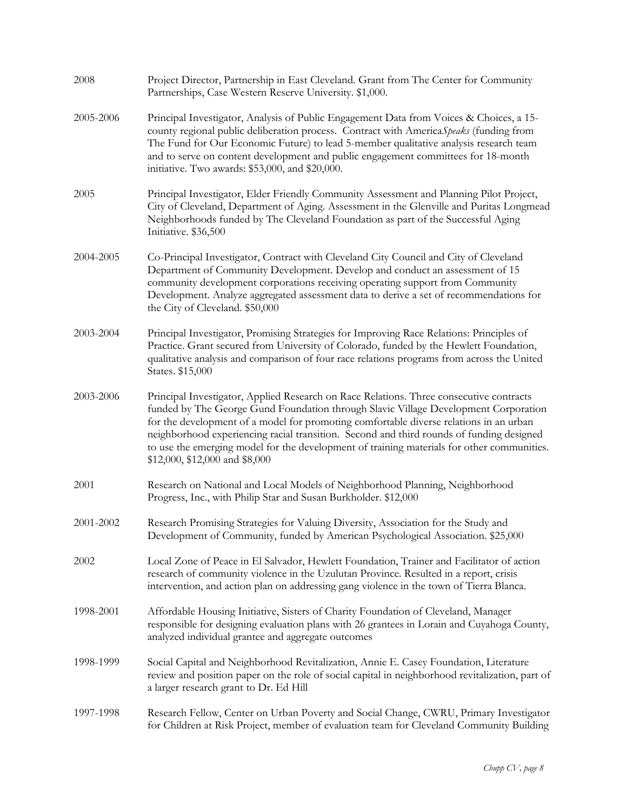| 2008      | Project Director, Partnership in East Cleveland. Grant from The Center for Community<br>Partnerships, Case Western Reserve University. \$1,000.                                                                                                                                                                                                                                                                                                                                                      |
|-----------|------------------------------------------------------------------------------------------------------------------------------------------------------------------------------------------------------------------------------------------------------------------------------------------------------------------------------------------------------------------------------------------------------------------------------------------------------------------------------------------------------|
| 2005-2006 | Principal Investigator, Analysis of Public Engagement Data from Voices & Choices, a 15-<br>county regional public deliberation process. Contract with AmericaSpeaks (funding from<br>The Fund for Our Economic Future) to lead 5-member qualitative analysis research team<br>and to serve on content development and public engagement committees for 18-month<br>initiative. Two awards: \$53,000, and \$20,000.                                                                                   |
| 2005      | Principal Investigator, Elder Friendly Community Assessment and Planning Pilot Project,<br>City of Cleveland, Department of Aging. Assessment in the Glenville and Puritas Longmead<br>Neighborhoods funded by The Cleveland Foundation as part of the Successful Aging<br>Initiative. \$36,500                                                                                                                                                                                                      |
| 2004-2005 | Co-Principal Investigator, Contract with Cleveland City Council and City of Cleveland<br>Department of Community Development. Develop and conduct an assessment of 15<br>community development corporations receiving operating support from Community<br>Development. Analyze aggregated assessment data to derive a set of recommendations for<br>the City of Cleveland. \$50,000                                                                                                                  |
| 2003-2004 | Principal Investigator, Promising Strategies for Improving Race Relations: Principles of<br>Practice. Grant secured from University of Colorado, funded by the Hewlett Foundation,<br>qualitative analysis and comparison of four race relations programs from across the United<br>States. \$15,000                                                                                                                                                                                                 |
| 2003-2006 | Principal Investigator, Applied Research on Race Relations. Three consecutive contracts<br>funded by The George Gund Foundation through Slavic Village Development Corporation<br>for the development of a model for promoting comfortable diverse relations in an urban<br>neighborhood experiencing racial transition. Second and third rounds of funding designed<br>to use the emerging model for the development of training materials for other communities.<br>\$12,000, \$12,000 and \$8,000 |
| 2001      | Research on National and Local Models of Neighborhood Planning, Neighborhood<br>Progress, Inc., with Philip Star and Susan Burkholder. \$12,000                                                                                                                                                                                                                                                                                                                                                      |
| 2001-2002 | Research Promising Strategies for Valuing Diversity, Association for the Study and<br>Development of Community, funded by American Psychological Association. \$25,000                                                                                                                                                                                                                                                                                                                               |
| 2002      | Local Zone of Peace in El Salvador, Hewlett Foundation, Trainer and Facilitator of action<br>research of community violence in the Uzulutan Province. Resulted in a report, crisis<br>intervention, and action plan on addressing gang violence in the town of Tierra Blanca.                                                                                                                                                                                                                        |
| 1998-2001 | Affordable Housing Initiative, Sisters of Charity Foundation of Cleveland, Manager<br>responsible for designing evaluation plans with 26 grantees in Lorain and Cuyahoga County,<br>analyzed individual grantee and aggregate outcomes                                                                                                                                                                                                                                                               |
| 1998-1999 | Social Capital and Neighborhood Revitalization, Annie E. Casey Foundation, Literature<br>review and position paper on the role of social capital in neighborhood revitalization, part of<br>a larger research grant to Dr. Ed Hill                                                                                                                                                                                                                                                                   |
| 1997-1998 | Research Fellow, Center on Urban Poverty and Social Change, CWRU, Primary Investigator<br>for Children at Risk Project, member of evaluation team for Cleveland Community Building                                                                                                                                                                                                                                                                                                                   |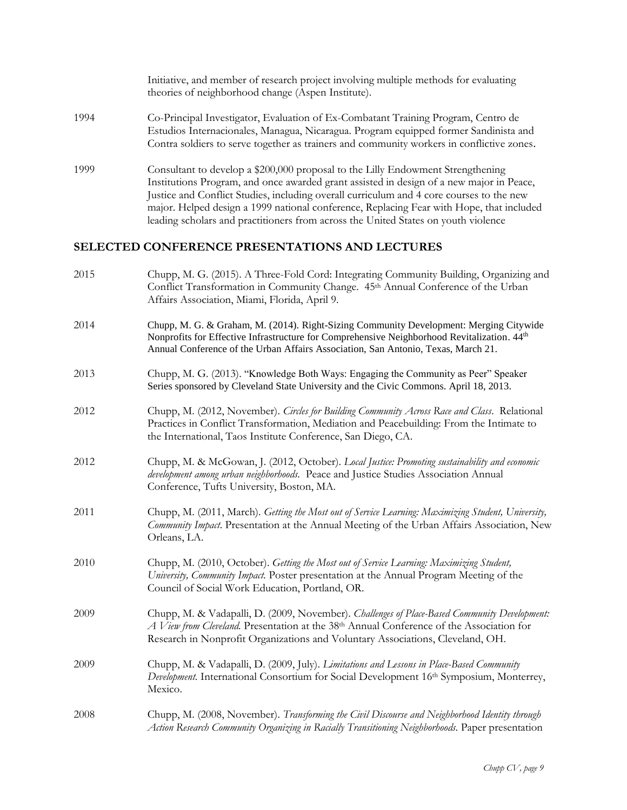|      | theories of neighborhood change (Aspen Institute).                                                                                                                                                                                                                                                                                                                                                                                                        |
|------|-----------------------------------------------------------------------------------------------------------------------------------------------------------------------------------------------------------------------------------------------------------------------------------------------------------------------------------------------------------------------------------------------------------------------------------------------------------|
| 1994 | Co-Principal Investigator, Evaluation of Ex-Combatant Training Program, Centro de<br>Estudios Internacionales, Managua, Nicaragua. Program equipped former Sandinista and<br>Contra soldiers to serve together as trainers and community workers in conflictive zones.                                                                                                                                                                                    |
| 1999 | Consultant to develop a \$200,000 proposal to the Lilly Endowment Strengthening<br>Institutions Program, and once awarded grant assisted in design of a new major in Peace,<br>Justice and Conflict Studies, including overall curriculum and 4 core courses to the new<br>major. Helped design a 1999 national conference, Replacing Fear with Hope, that included<br>leading scholars and practitioners from across the United States on youth violence |
|      | <b>SELECTED CONFERENCE PRESENTATIONS AND LECTURES</b>                                                                                                                                                                                                                                                                                                                                                                                                     |
| 2015 | Chupp, M. G. (2015). A Three-Fold Cord: Integrating Community Building, Organizing and<br>Conflict Transformation in Community Change. 45th Annual Conference of the Urban<br>Affairs Association, Miami, Florida, April 9.                                                                                                                                                                                                                               |
| 2014 | Chupp, M. G. & Graham, M. (2014). Right-Sizing Community Development: Merging Citywide<br>Nonprofits for Effective Infrastructure for Comprehensive Neighborhood Revitalization. 44 <sup>th</sup><br>Annual Conference of the Urban Affairs Association, San Antonio, Texas, March 21.                                                                                                                                                                    |
| 2013 | Chupp, M. G. (2013). "Knowledge Both Ways: Engaging the Community as Peer" Speaker<br>Series sponsored by Cleveland State University and the Civic Commons. April 18, 2013.                                                                                                                                                                                                                                                                               |
| 2012 | Chupp, M. (2012, November). Circles for Building Community Across Race and Class. Relational<br>Practices in Conflict Transformation, Mediation and Peacebuilding: From the Intimate to<br>the International, Taos Institute Conference, San Diego, CA.                                                                                                                                                                                                   |
| 2012 | Chupp, M. & McGowan, J. (2012, October). Local Justice: Promoting sustainability and economic<br>development among urban neighborhoods. Peace and Justice Studies Association Annual<br>Conference, Tufts University, Boston, MA.                                                                                                                                                                                                                         |
| 2011 | Chupp, M. (2011, March). Getting the Most out of Service Learning: Maximizing Student, University,<br>Community Impact. Presentation at the Annual Meeting of the Urban Affairs Association, New<br>Orleans, LA.                                                                                                                                                                                                                                          |
| 2010 | Chupp, M. (2010, October). Getting the Most out of Service Learning: Maximizing Student,<br>University, Community Impact. Poster presentation at the Annual Program Meeting of the<br>Council of Social Work Education, Portland, OR.                                                                                                                                                                                                                     |
| 2009 | Chupp, M. & Vadapalli, D. (2009, November). Challenges of Place-Based Community Development:<br>A View from Cleveland. Presentation at the 38th Annual Conference of the Association for<br>Research in Nonprofit Organizations and Voluntary Associations, Cleveland, OH.                                                                                                                                                                                |
| 2009 | Chupp, M. & Vadapalli, D. (2009, July). Limitations and Lessons in Place-Based Community<br>Development. International Consortium for Social Development 16th Symposium, Monterrey,<br>Mexico.                                                                                                                                                                                                                                                            |
| 2008 | Chupp, M. (2008, November). Transforming the Civil Discourse and Neighborhood Identity through<br>Action Research Community Organizing in Racially Transitioning Neighborhoods. Paper presentation                                                                                                                                                                                                                                                        |

Initiative, and member of research project involving multiple methods for evaluating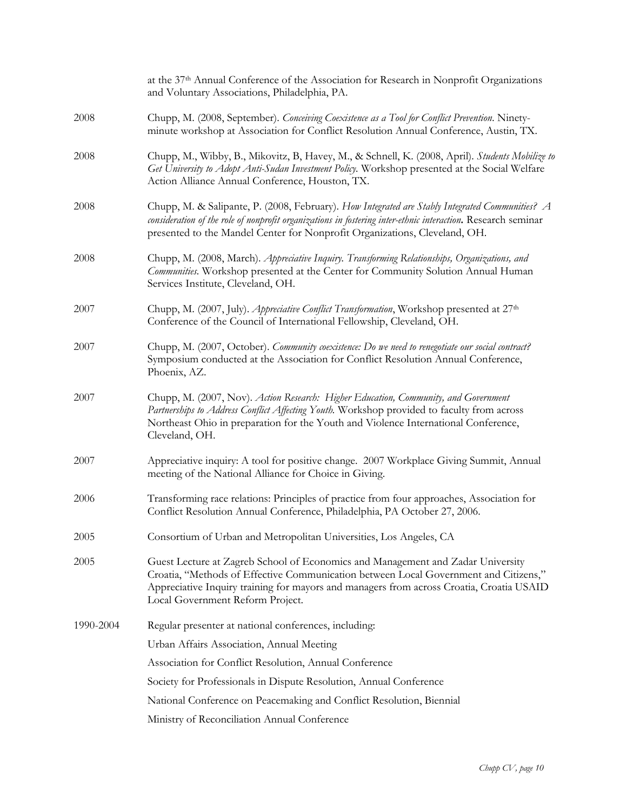|           | at the 37 <sup>th</sup> Annual Conference of the Association for Research in Nonprofit Organizations<br>and Voluntary Associations, Philadelphia, PA.                                                                                                                                                   |
|-----------|---------------------------------------------------------------------------------------------------------------------------------------------------------------------------------------------------------------------------------------------------------------------------------------------------------|
| 2008      | Chupp, M. (2008, September). Conceiving Coexistence as a Tool for Conflict Prevention. Ninety-<br>minute workshop at Association for Conflict Resolution Annual Conference, Austin, TX.                                                                                                                 |
| 2008      | Chupp, M., Wibby, B., Mikovitz, B, Havey, M., & Schnell, K. (2008, April). Students Mobilize to<br>Get University to Adopt Anti-Sudan Investment Policy. Workshop presented at the Social Welfare<br>Action Alliance Annual Conference, Houston, TX.                                                    |
| 2008      | Chupp, M. & Salipante, P. (2008, February). How Integrated are Stably Integrated Communities? A<br>consideration of the role of nonprofit organizations in fostering inter-ethnic interaction. Research seminar<br>presented to the Mandel Center for Nonprofit Organizations, Cleveland, OH.           |
| 2008      | Chupp, M. (2008, March). Appreciative Inquiry. Transforming Relationships, Organizations, and<br>Communities. Workshop presented at the Center for Community Solution Annual Human<br>Services Institute, Cleveland, OH.                                                                                |
| 2007      | Chupp, M. (2007, July). Appreciative Conflict Transformation, Workshop presented at 27 <sup>th</sup><br>Conference of the Council of International Fellowship, Cleveland, OH.                                                                                                                           |
| 2007      | Chupp, M. (2007, October). Community coexistence: Do we need to renegotiate our social contract?<br>Symposium conducted at the Association for Conflict Resolution Annual Conference,<br>Phoenix, AZ.                                                                                                   |
| 2007      | Chupp, M. (2007, Nov). Action Research: Higher Education, Community, and Government<br>Partnerships to Address Conflict Affecting Youth. Workshop provided to faculty from across<br>Northeast Ohio in preparation for the Youth and Violence International Conference,<br>Cleveland, OH.               |
| 2007      | Appreciative inquiry: A tool for positive change. 2007 Workplace Giving Summit, Annual<br>meeting of the National Alliance for Choice in Giving.                                                                                                                                                        |
| 2006      | Transforming race relations: Principles of practice from four approaches, Association for<br>Conflict Resolution Annual Conference, Philadelphia, PA October 27, 2006.                                                                                                                                  |
| 2005      | Consortium of Urban and Metropolitan Universities, Los Angeles, CA                                                                                                                                                                                                                                      |
| 2005      | Guest Lecture at Zagreb School of Economics and Management and Zadar University<br>Croatia, "Methods of Effective Communication between Local Government and Citizens,"<br>Appreciative Inquiry training for mayors and managers from across Croatia, Croatia USAID<br>Local Government Reform Project. |
| 1990-2004 | Regular presenter at national conferences, including:                                                                                                                                                                                                                                                   |
|           | Urban Affairs Association, Annual Meeting                                                                                                                                                                                                                                                               |
|           | Association for Conflict Resolution, Annual Conference                                                                                                                                                                                                                                                  |
|           | Society for Professionals in Dispute Resolution, Annual Conference                                                                                                                                                                                                                                      |
|           | National Conference on Peacemaking and Conflict Resolution, Biennial                                                                                                                                                                                                                                    |
|           | Ministry of Reconciliation Annual Conference                                                                                                                                                                                                                                                            |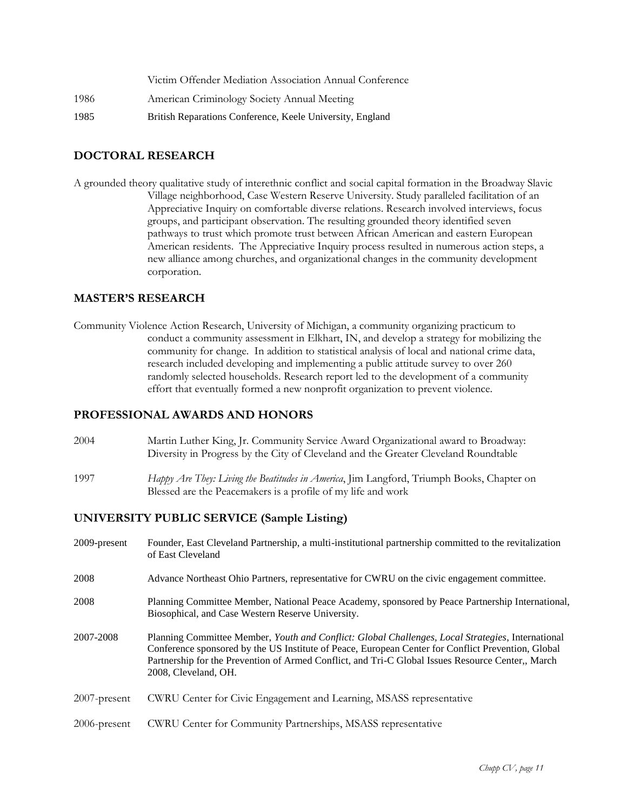|      | Victim Offender Mediation Association Annual Conference   |
|------|-----------------------------------------------------------|
| 1986 | American Criminology Society Annual Meeting               |
| 1985 | British Reparations Conference, Keele University, England |

#### **DOCTORAL RESEARCH**

A grounded theory qualitative study of interethnic conflict and social capital formation in the Broadway Slavic Village neighborhood, Case Western Reserve University. Study paralleled facilitation of an Appreciative Inquiry on comfortable diverse relations. Research involved interviews, focus groups, and participant observation. The resulting grounded theory identified seven pathways to trust which promote trust between African American and eastern European American residents. The Appreciative Inquiry process resulted in numerous action steps, a new alliance among churches, and organizational changes in the community development corporation.

#### **MASTER'S RESEARCH**

Community Violence Action Research, University of Michigan, a community organizing practicum to conduct a community assessment in Elkhart, IN, and develop a strategy for mobilizing the community for change. In addition to statistical analysis of local and national crime data, research included developing and implementing a public attitude survey to over 260 randomly selected households. Research report led to the development of a community effort that eventually formed a new nonprofit organization to prevent violence.

#### **PROFESSIONAL AWARDS AND HONORS**

- 2004 Martin Luther King, Jr. Community Service Award Organizational award to Broadway: Diversity in Progress by the City of Cleveland and the Greater Cleveland Roundtable
- 1997 *Happy Are They: Living the Beatitudes in America*, Jim Langford, Triumph Books, Chapter on Blessed are the Peacemakers is a profile of my life and work

#### **UNIVERSITY PUBLIC SERVICE (Sample Listing)**

2009-present Founder, East Cleveland Partnership, a multi-institutional partnership committed to the revitalization of East Cleveland 2008 Advance Northeast Ohio Partners, representative for CWRU on the civic engagement committee. 2008 Planning Committee Member, National Peace Academy, sponsored by Peace Partnership International, Biosophical, and Case Western Reserve University. 2007-2008 Planning Committee Member, *Youth and Conflict: Global Challenges, Local Strategies*, International Conference sponsored by the US Institute of Peace, European Center for Conflict Prevention, Global Partnership for the Prevention of Armed Conflict, and Tri-C Global Issues Resource Center,, March 2008, Cleveland, OH. 2007-present CWRU Center for Civic Engagement and Learning, MSASS representative 2006-present CWRU Center for Community Partnerships, MSASS representative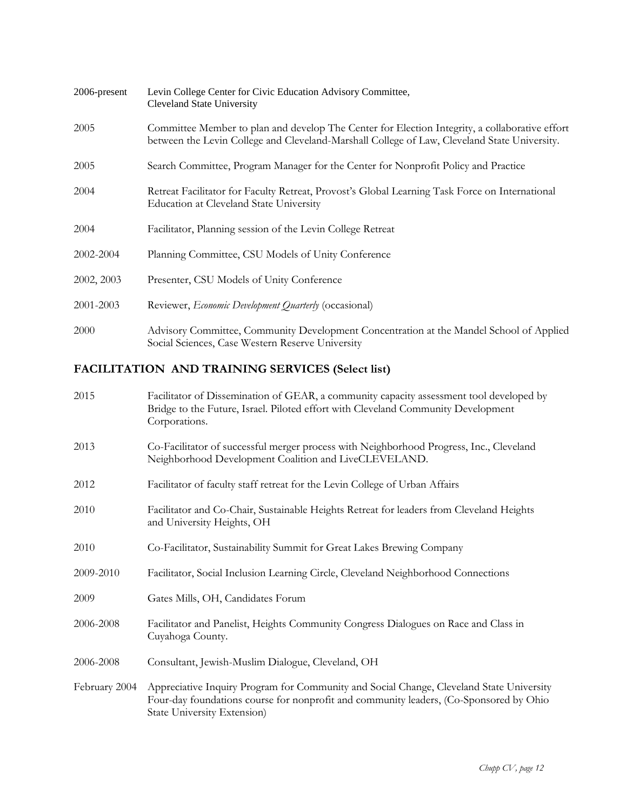| 2006-present | Levin College Center for Civic Education Advisory Committee,<br><b>Cleveland State University</b>                                                                                              |
|--------------|------------------------------------------------------------------------------------------------------------------------------------------------------------------------------------------------|
| 2005         | Committee Member to plan and develop The Center for Election Integrity, a collaborative effort<br>between the Levin College and Cleveland-Marshall College of Law, Cleveland State University. |
| 2005         | Search Committee, Program Manager for the Center for Nonprofit Policy and Practice                                                                                                             |
| 2004         | Retreat Facilitator for Faculty Retreat, Provost's Global Learning Task Force on International<br><b>Education at Cleveland State University</b>                                               |
| 2004         | Facilitator, Planning session of the Levin College Retreat                                                                                                                                     |
| 2002-2004    | Planning Committee, CSU Models of Unity Conference                                                                                                                                             |
| 2002, 2003   | Presenter, CSU Models of Unity Conference                                                                                                                                                      |
| 2001-2003    | Reviewer, Economic Development Quarterly (occasional)                                                                                                                                          |
| 2000         | Advisory Committee, Community Development Concentration at the Mandel School of Applied<br>Social Sciences, Case Western Reserve University                                                    |

## **FACILITATION AND TRAINING SERVICES (Select list)**

| 2015          | Facilitator of Dissemination of GEAR, a community capacity assessment tool developed by<br>Bridge to the Future, Israel. Piloted effort with Cleveland Community Development<br>Corporations.                             |
|---------------|---------------------------------------------------------------------------------------------------------------------------------------------------------------------------------------------------------------------------|
| 2013          | Co-Facilitator of successful merger process with Neighborhood Progress, Inc., Cleveland<br>Neighborhood Development Coalition and LiveCLEVELAND.                                                                          |
| 2012          | Facilitator of faculty staff retreat for the Levin College of Urban Affairs                                                                                                                                               |
| 2010          | Facilitator and Co-Chair, Sustainable Heights Retreat for leaders from Cleveland Heights<br>and University Heights, OH                                                                                                    |
| 2010          | Co-Facilitator, Sustainability Summit for Great Lakes Brewing Company                                                                                                                                                     |
| 2009-2010     | Facilitator, Social Inclusion Learning Circle, Cleveland Neighborhood Connections                                                                                                                                         |
| 2009          | Gates Mills, OH, Candidates Forum                                                                                                                                                                                         |
| 2006-2008     | Facilitator and Panelist, Heights Community Congress Dialogues on Race and Class in<br>Cuyahoga County.                                                                                                                   |
| 2006-2008     | Consultant, Jewish-Muslim Dialogue, Cleveland, OH                                                                                                                                                                         |
| February 2004 | Appreciative Inquiry Program for Community and Social Change, Cleveland State University<br>Four-day foundations course for nonprofit and community leaders, (Co-Sponsored by Ohio<br><b>State University Extension</b> ) |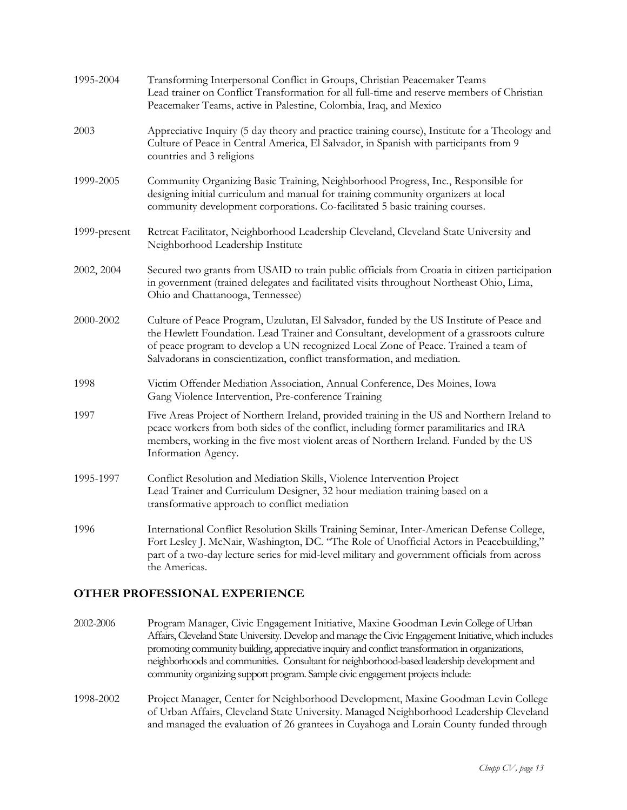| 1995-2004    | Transforming Interpersonal Conflict in Groups, Christian Peacemaker Teams<br>Lead trainer on Conflict Transformation for all full-time and reserve members of Christian<br>Peacemaker Teams, active in Palestine, Colombia, Iraq, and Mexico                                                                                                           |
|--------------|--------------------------------------------------------------------------------------------------------------------------------------------------------------------------------------------------------------------------------------------------------------------------------------------------------------------------------------------------------|
| 2003         | Appreciative Inquiry (5 day theory and practice training course), Institute for a Theology and<br>Culture of Peace in Central America, El Salvador, in Spanish with participants from 9<br>countries and 3 religions                                                                                                                                   |
| 1999-2005    | Community Organizing Basic Training, Neighborhood Progress, Inc., Responsible for<br>designing initial curriculum and manual for training community organizers at local<br>community development corporations. Co-facilitated 5 basic training courses.                                                                                                |
| 1999-present | Retreat Facilitator, Neighborhood Leadership Cleveland, Cleveland State University and<br>Neighborhood Leadership Institute                                                                                                                                                                                                                            |
| 2002, 2004   | Secured two grants from USAID to train public officials from Croatia in citizen participation<br>in government (trained delegates and facilitated visits throughout Northeast Ohio, Lima,<br>Ohio and Chattanooga, Tennessee)                                                                                                                          |
| 2000-2002    | Culture of Peace Program, Uzulutan, El Salvador, funded by the US Institute of Peace and<br>the Hewlett Foundation. Lead Trainer and Consultant, development of a grassroots culture<br>of peace program to develop a UN recognized Local Zone of Peace. Trained a team of<br>Salvadorans in conscientization, conflict transformation, and mediation. |
| 1998         | Victim Offender Mediation Association, Annual Conference, Des Moines, Iowa<br>Gang Violence Intervention, Pre-conference Training                                                                                                                                                                                                                      |
| 1997         | Five Areas Project of Northern Ireland, provided training in the US and Northern Ireland to<br>peace workers from both sides of the conflict, including former paramilitaries and IRA<br>members, working in the five most violent areas of Northern Ireland. Funded by the US<br>Information Agency.                                                  |
| 1995-1997    | Conflict Resolution and Mediation Skills, Violence Intervention Project<br>Lead Trainer and Curriculum Designer, 32 hour mediation training based on a<br>transformative approach to conflict mediation                                                                                                                                                |
| 1996         | International Conflict Resolution Skills Training Seminar, Inter-American Defense College,<br>Fort Lesley J. McNair, Washington, DC. "The Role of Unofficial Actors in Peacebuilding,"<br>part of a two-day lecture series for mid-level military and government officials from across<br>the Americas.                                                |

## **OTHER PROFESSIONAL EXPERIENCE**

- 2002-2006 Program Manager, Civic Engagement Initiative, Maxine Goodman Levin College of Urban Affairs, Cleveland State University. Develop and manage the Civic Engagement Initiative, which includes promoting community building, appreciative inquiry and conflict transformation in organizations, neighborhoods and communities. Consultant for neighborhood-based leadership development and community organizing support program. Sample civic engagement projects include:
- 1998-2002 Project Manager, Center for Neighborhood Development, Maxine Goodman Levin College of Urban Affairs, Cleveland State University. Managed Neighborhood Leadership Cleveland and managed the evaluation of 26 grantees in Cuyahoga and Lorain County funded through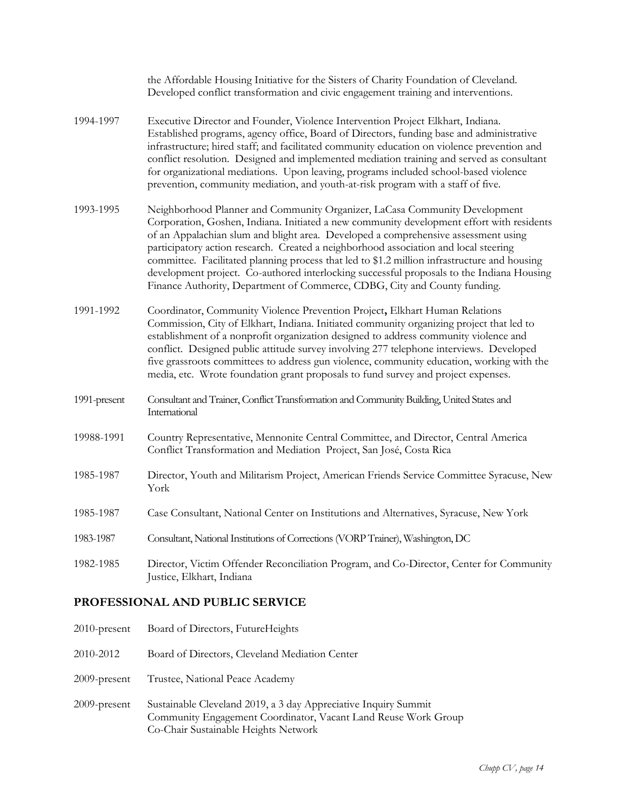|              | the Affordable Housing Initiative for the Sisters of Charity Foundation of Cleveland.<br>Developed conflict transformation and civic engagement training and interventions.                                                                                                                                                                                                                                                                                                                                                                                                                                                     |
|--------------|---------------------------------------------------------------------------------------------------------------------------------------------------------------------------------------------------------------------------------------------------------------------------------------------------------------------------------------------------------------------------------------------------------------------------------------------------------------------------------------------------------------------------------------------------------------------------------------------------------------------------------|
| 1994-1997    | Executive Director and Founder, Violence Intervention Project Elkhart, Indiana.<br>Established programs, agency office, Board of Directors, funding base and administrative<br>infrastructure; hired staff; and facilitated community education on violence prevention and<br>conflict resolution. Designed and implemented mediation training and served as consultant<br>for organizational mediations. Upon leaving, programs included school-based violence<br>prevention, community mediation, and youth-at-risk program with a staff of five.                                                                             |
| 1993-1995    | Neighborhood Planner and Community Organizer, LaCasa Community Development<br>Corporation, Goshen, Indiana. Initiated a new community development effort with residents<br>of an Appalachian slum and blight area. Developed a comprehensive assessment using<br>participatory action research. Created a neighborhood association and local steering<br>committee. Facilitated planning process that led to \$1.2 million infrastructure and housing<br>development project. Co-authored interlocking successful proposals to the Indiana Housing<br>Finance Authority, Department of Commerce, CDBG, City and County funding. |
| 1991-1992    | Coordinator, Community Violence Prevention Project, Elkhart Human Relations<br>Commission, City of Elkhart, Indiana. Initiated community organizing project that led to<br>establishment of a nonprofit organization designed to address community violence and<br>conflict. Designed public attitude survey involving 277 telephone interviews. Developed<br>five grassroots committees to address gun violence, community education, working with the<br>media, etc. Wrote foundation grant proposals to fund survey and project expenses.                                                                                    |
| 1991-present | Consultant and Trainer, Conflict Transformation and Community Building, United States and<br>International                                                                                                                                                                                                                                                                                                                                                                                                                                                                                                                      |
| 19988-1991   | Country Representative, Mennonite Central Committee, and Director, Central America<br>Conflict Transformation and Mediation Project, San José, Costa Rica                                                                                                                                                                                                                                                                                                                                                                                                                                                                       |
| 1985-1987    | Director, Youth and Militarism Project, American Friends Service Committee Syracuse, New<br>York                                                                                                                                                                                                                                                                                                                                                                                                                                                                                                                                |
| 1985-1987    | Case Consultant, National Center on Institutions and Alternatives, Syracuse, New York                                                                                                                                                                                                                                                                                                                                                                                                                                                                                                                                           |
| 1983-1987    | Consultant, National Institutions of Corrections (VORP Trainer), Washington, DC                                                                                                                                                                                                                                                                                                                                                                                                                                                                                                                                                 |
| 1982-1985    | Director, Victim Offender Reconciliation Program, and Co-Director, Center for Community<br>Justice, Elkhart, Indiana                                                                                                                                                                                                                                                                                                                                                                                                                                                                                                            |
|              | <b>DRAFFICALALLE LAID DUDI LA CEDITIAR</b>                                                                                                                                                                                                                                                                                                                                                                                                                                                                                                                                                                                      |

## **PROFESSIONAL AND PUBLIC SERVICE**

2010-present Board of Directors, FutureHeights 2010-2012 Board of Directors, Cleveland Mediation Center 2009-present Trustee, National Peace Academy 2009-present Sustainable Cleveland 2019, a 3 day Appreciative Inquiry Summit Community Engagement Coordinator, Vacant Land Reuse Work Group Co-Chair Sustainable Heights Network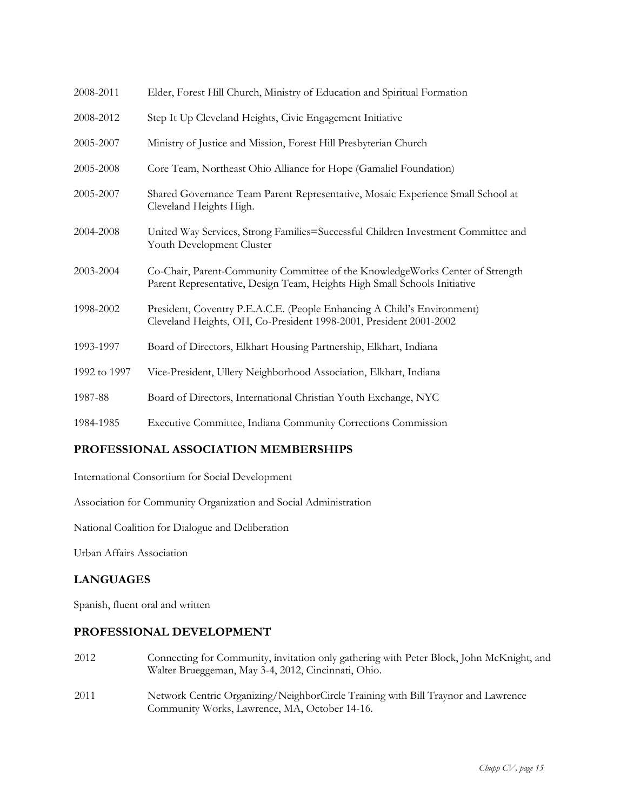| 2008-2011    | Elder, Forest Hill Church, Ministry of Education and Spiritual Formation                                                                                   |
|--------------|------------------------------------------------------------------------------------------------------------------------------------------------------------|
| 2008-2012    | Step It Up Cleveland Heights, Civic Engagement Initiative                                                                                                  |
| 2005-2007    | Ministry of Justice and Mission, Forest Hill Presbyterian Church                                                                                           |
| 2005-2008    | Core Team, Northeast Ohio Alliance for Hope (Gamaliel Foundation)                                                                                          |
| 2005-2007    | Shared Governance Team Parent Representative, Mosaic Experience Small School at<br>Cleveland Heights High.                                                 |
| 2004-2008    | United Way Services, Strong Families=Successful Children Investment Committee and<br>Youth Development Cluster                                             |
| 2003-2004    | Co-Chair, Parent-Community Committee of the KnowledgeWorks Center of Strength<br>Parent Representative, Design Team, Heights High Small Schools Initiative |
| 1998-2002    | President, Coventry P.E.A.C.E. (People Enhancing A Child's Environment)<br>Cleveland Heights, OH, Co-President 1998-2001, President 2001-2002              |
| 1993-1997    | Board of Directors, Elkhart Housing Partnership, Elkhart, Indiana                                                                                          |
| 1992 to 1997 | Vice-President, Ullery Neighborhood Association, Elkhart, Indiana                                                                                          |
| 1987-88      | Board of Directors, International Christian Youth Exchange, NYC                                                                                            |
| 1984-1985    | Executive Committee, Indiana Community Corrections Commission                                                                                              |

## **PROFESSIONAL ASSOCIATION MEMBERSHIPS**

International Consortium for Social Development

Association for Community Organization and Social Administration

National Coalition for Dialogue and Deliberation

Urban Affairs Association

## **LANGUAGES**

Spanish, fluent oral and written

#### **PROFESSIONAL DEVELOPMENT**

- 2012 Connecting for Community, invitation only gathering with Peter Block, John McKnight, and Walter Brueggeman, May 3-4, 2012, Cincinnati, Ohio.
- 2011 Network Centric Organizing/NeighborCircle Training with Bill Traynor and Lawrence Community Works, Lawrence, MA, October 14-16.